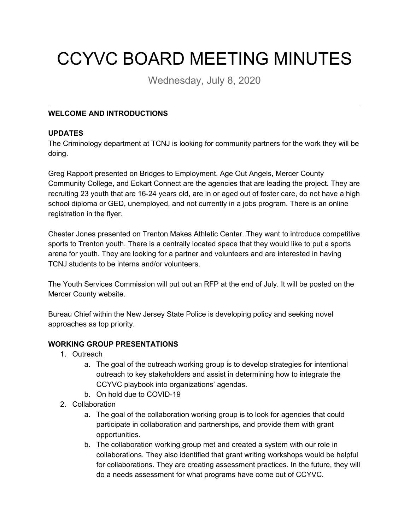# CCYVC BOARD MEETING MINUTES

Wednesday, July 8, 2020

## **WELCOME AND INTRODUCTIONS**

#### **UPDATES**

The Criminology department at TCNJ is looking for community partners for the work they will be doing.

Greg Rapport presented on Bridges to Employment. Age Out Angels, Mercer County Community College, and Eckart Connect are the agencies that are leading the project. They are recruiting 23 youth that are 16-24 years old, are in or aged out of foster care, do not have a high school diploma or GED, unemployed, and not currently in a jobs program. There is an online registration in the flyer.

Chester Jones presented on Trenton Makes Athletic Center. They want to introduce competitive sports to Trenton youth. There is a centrally located space that they would like to put a sports arena for youth. They are looking for a partner and volunteers and are interested in having TCNJ students to be interns and/or volunteers.

The Youth Services Commission will put out an RFP at the end of July. It will be posted on the Mercer County website.

Bureau Chief within the New Jersey State Police is developing policy and seeking novel approaches as top priority.

#### **WORKING GROUP PRESENTATIONS**

- 1. Outreach
	- a. The goal of the outreach working group is to develop strategies for intentional outreach to key stakeholders and assist in determining how to integrate the CCYVC playbook into organizations' agendas.
	- b. On hold due to COVID-19
- 2. Collaboration
	- a. The goal of the collaboration working group is to look for agencies that could participate in collaboration and partnerships, and provide them with grant opportunities.
	- b. The collaboration working group met and created a system with our role in collaborations. They also identified that grant writing workshops would be helpful for collaborations. They are creating assessment practices. In the future, they will do a needs assessment for what programs have come out of CCYVC.